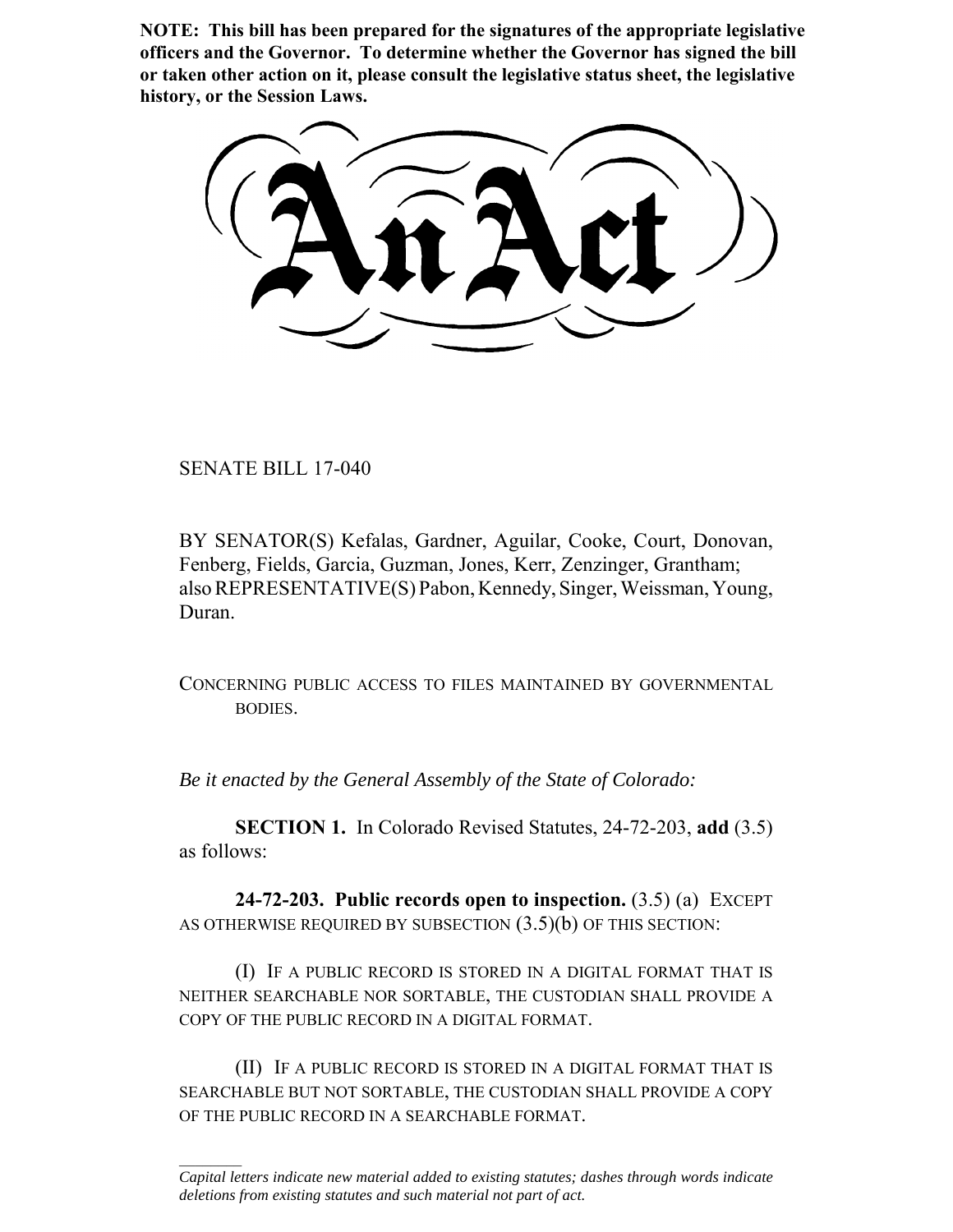**NOTE: This bill has been prepared for the signatures of the appropriate legislative officers and the Governor. To determine whether the Governor has signed the bill or taken other action on it, please consult the legislative status sheet, the legislative history, or the Session Laws.**

SENATE BILL 17-040

 $\frac{1}{2}$ 

BY SENATOR(S) Kefalas, Gardner, Aguilar, Cooke, Court, Donovan, Fenberg, Fields, Garcia, Guzman, Jones, Kerr, Zenzinger, Grantham; also REPRESENTATIVE(S) Pabon, Kennedy, Singer, Weissman, Young, Duran.

CONCERNING PUBLIC ACCESS TO FILES MAINTAINED BY GOVERNMENTAL BODIES.

*Be it enacted by the General Assembly of the State of Colorado:*

**SECTION 1.** In Colorado Revised Statutes, 24-72-203, **add** (3.5) as follows:

**24-72-203. Public records open to inspection.** (3.5) (a) EXCEPT AS OTHERWISE REQUIRED BY SUBSECTION  $(3.5)(b)$  OF THIS SECTION:

(I) IF A PUBLIC RECORD IS STORED IN A DIGITAL FORMAT THAT IS NEITHER SEARCHABLE NOR SORTABLE, THE CUSTODIAN SHALL PROVIDE A COPY OF THE PUBLIC RECORD IN A DIGITAL FORMAT.

(II) IF A PUBLIC RECORD IS STORED IN A DIGITAL FORMAT THAT IS SEARCHABLE BUT NOT SORTABLE, THE CUSTODIAN SHALL PROVIDE A COPY OF THE PUBLIC RECORD IN A SEARCHABLE FORMAT.

*Capital letters indicate new material added to existing statutes; dashes through words indicate deletions from existing statutes and such material not part of act.*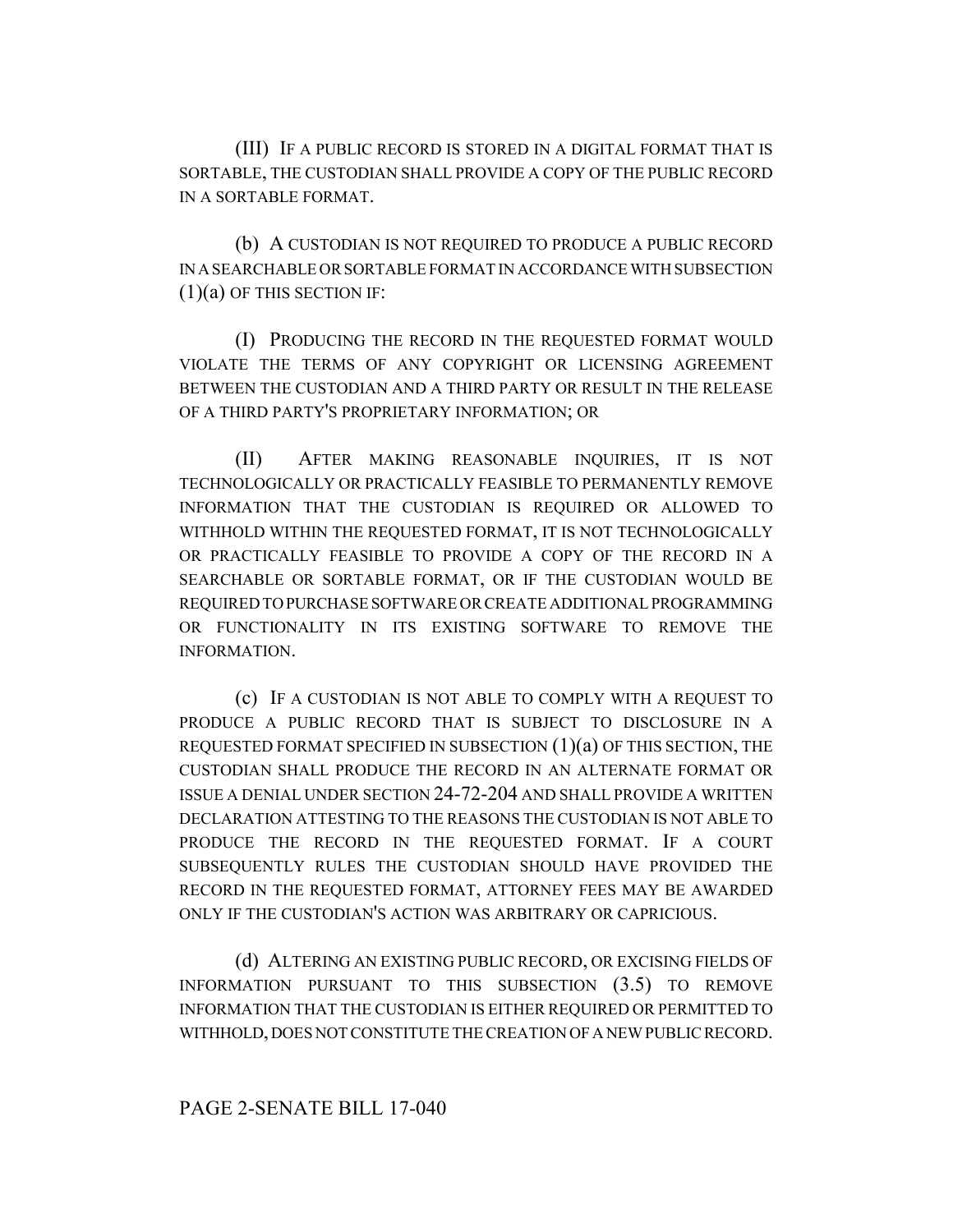(III) IF A PUBLIC RECORD IS STORED IN A DIGITAL FORMAT THAT IS SORTABLE, THE CUSTODIAN SHALL PROVIDE A COPY OF THE PUBLIC RECORD IN A SORTABLE FORMAT.

(b) A CUSTODIAN IS NOT REQUIRED TO PRODUCE A PUBLIC RECORD IN A SEARCHABLE OR SORTABLE FORMAT IN ACCORDANCE WITH SUBSECTION  $(1)(a)$  OF THIS SECTION IF:

(I) PRODUCING THE RECORD IN THE REQUESTED FORMAT WOULD VIOLATE THE TERMS OF ANY COPYRIGHT OR LICENSING AGREEMENT BETWEEN THE CUSTODIAN AND A THIRD PARTY OR RESULT IN THE RELEASE OF A THIRD PARTY'S PROPRIETARY INFORMATION; OR

(II) AFTER MAKING REASONABLE INQUIRIES, IT IS NOT TECHNOLOGICALLY OR PRACTICALLY FEASIBLE TO PERMANENTLY REMOVE INFORMATION THAT THE CUSTODIAN IS REQUIRED OR ALLOWED TO WITHHOLD WITHIN THE REQUESTED FORMAT, IT IS NOT TECHNOLOGICALLY OR PRACTICALLY FEASIBLE TO PROVIDE A COPY OF THE RECORD IN A SEARCHABLE OR SORTABLE FORMAT, OR IF THE CUSTODIAN WOULD BE REQUIRED TO PURCHASE SOFTWARE OR CREATE ADDITIONAL PROGRAMMING OR FUNCTIONALITY IN ITS EXISTING SOFTWARE TO REMOVE THE INFORMATION.

(c) IF A CUSTODIAN IS NOT ABLE TO COMPLY WITH A REQUEST TO PRODUCE A PUBLIC RECORD THAT IS SUBJECT TO DISCLOSURE IN A REQUESTED FORMAT SPECIFIED IN SUBSECTION (1)(a) OF THIS SECTION, THE CUSTODIAN SHALL PRODUCE THE RECORD IN AN ALTERNATE FORMAT OR ISSUE A DENIAL UNDER SECTION 24-72-204 AND SHALL PROVIDE A WRITTEN DECLARATION ATTESTING TO THE REASONS THE CUSTODIAN IS NOT ABLE TO PRODUCE THE RECORD IN THE REQUESTED FORMAT. IF A COURT SUBSEQUENTLY RULES THE CUSTODIAN SHOULD HAVE PROVIDED THE RECORD IN THE REQUESTED FORMAT, ATTORNEY FEES MAY BE AWARDED ONLY IF THE CUSTODIAN'S ACTION WAS ARBITRARY OR CAPRICIOUS.

(d) ALTERING AN EXISTING PUBLIC RECORD, OR EXCISING FIELDS OF INFORMATION PURSUANT TO THIS SUBSECTION (3.5) TO REMOVE INFORMATION THAT THE CUSTODIAN IS EITHER REQUIRED OR PERMITTED TO WITHHOLD, DOES NOT CONSTITUTE THE CREATION OF A NEW PUBLIC RECORD.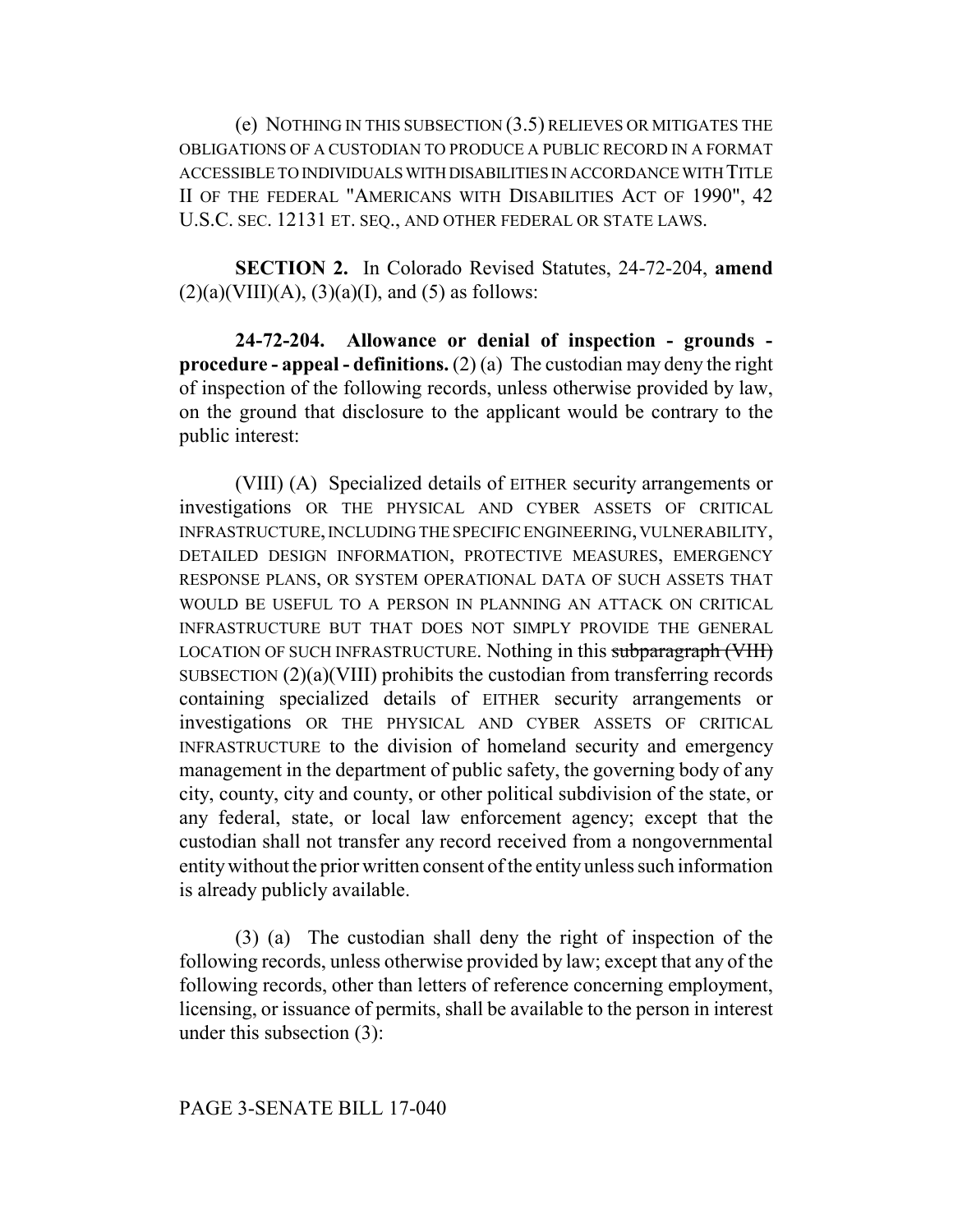(e) NOTHING IN THIS SUBSECTION (3.5) RELIEVES OR MITIGATES THE OBLIGATIONS OF A CUSTODIAN TO PRODUCE A PUBLIC RECORD IN A FORMAT ACCESSIBLE TO INDIVIDUALS WITH DISABILITIES IN ACCORDANCE WITH TITLE II OF THE FEDERAL "AMERICANS WITH DISABILITIES ACT OF 1990", 42 U.S.C. SEC. 12131 ET. SEQ., AND OTHER FEDERAL OR STATE LAWS.

**SECTION 2.** In Colorado Revised Statutes, 24-72-204, **amend**  $(2)(a)(VIII)(A), (3)(a)(I), and (5)$  as follows:

**24-72-204. Allowance or denial of inspection - grounds procedure - appeal - definitions.** (2) (a) The custodian may deny the right of inspection of the following records, unless otherwise provided by law, on the ground that disclosure to the applicant would be contrary to the public interest:

(VIII) (A) Specialized details of EITHER security arrangements or investigations OR THE PHYSICAL AND CYBER ASSETS OF CRITICAL INFRASTRUCTURE, INCLUDING THE SPECIFIC ENGINEERING, VULNERABILITY, DETAILED DESIGN INFORMATION, PROTECTIVE MEASURES, EMERGENCY RESPONSE PLANS, OR SYSTEM OPERATIONAL DATA OF SUCH ASSETS THAT WOULD BE USEFUL TO A PERSON IN PLANNING AN ATTACK ON CRITICAL INFRASTRUCTURE BUT THAT DOES NOT SIMPLY PROVIDE THE GENERAL LOCATION OF SUCH INFRASTRUCTURE. Nothing in this subparagraph (VIII) SUBSECTION (2)(a)(VIII) prohibits the custodian from transferring records containing specialized details of EITHER security arrangements or investigations OR THE PHYSICAL AND CYBER ASSETS OF CRITICAL INFRASTRUCTURE to the division of homeland security and emergency management in the department of public safety, the governing body of any city, county, city and county, or other political subdivision of the state, or any federal, state, or local law enforcement agency; except that the custodian shall not transfer any record received from a nongovernmental entity without the prior written consent of the entity unless such information is already publicly available.

(3) (a) The custodian shall deny the right of inspection of the following records, unless otherwise provided by law; except that any of the following records, other than letters of reference concerning employment, licensing, or issuance of permits, shall be available to the person in interest under this subsection (3):

## PAGE 3-SENATE BILL 17-040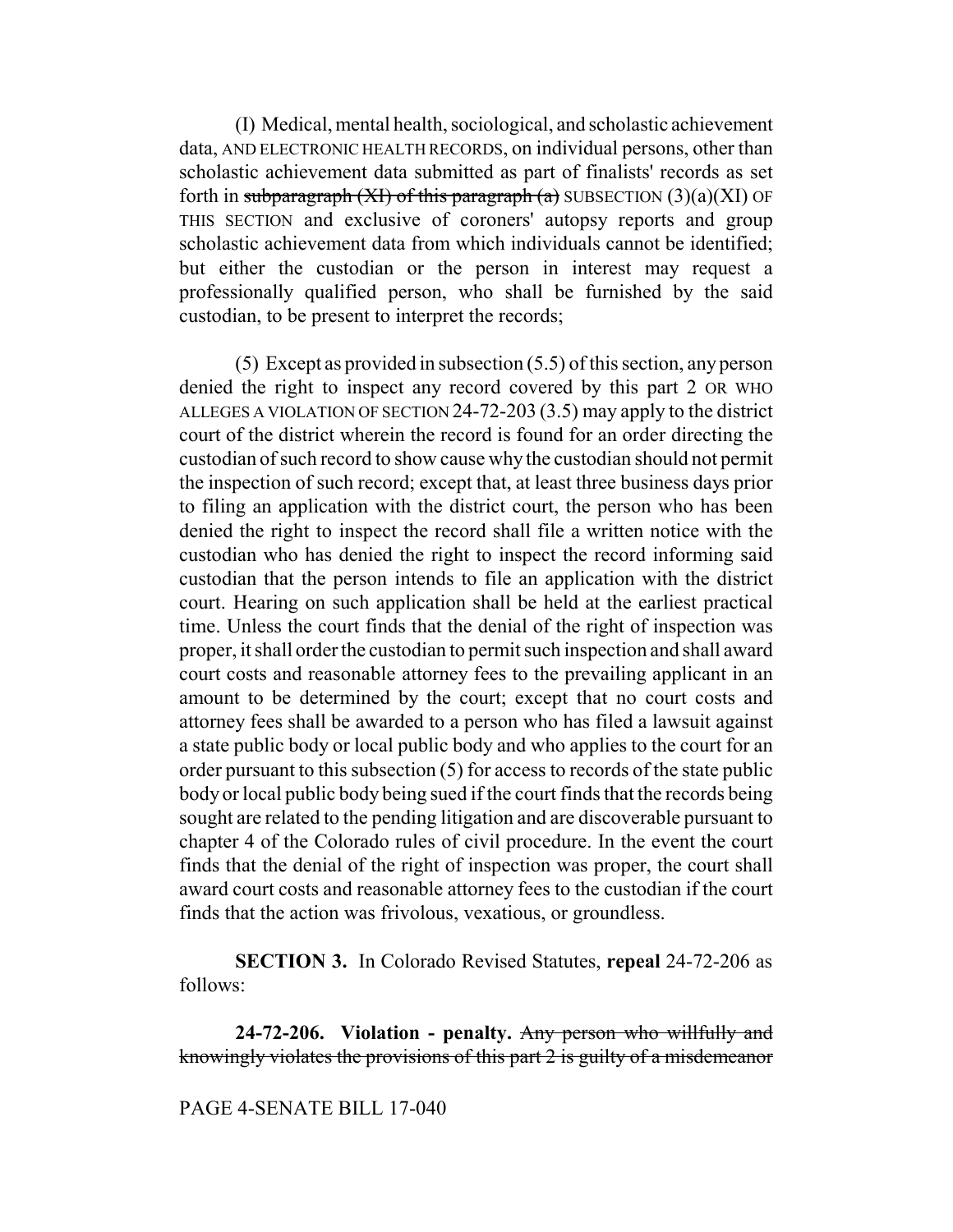(I) Medical, mental health, sociological, and scholastic achievement data, AND ELECTRONIC HEALTH RECORDS, on individual persons, other than scholastic achievement data submitted as part of finalists' records as set forth in subparagraph (XI) of this paragraph (a) SUBSECTION  $(3)(a)(XI)$  OF THIS SECTION and exclusive of coroners' autopsy reports and group scholastic achievement data from which individuals cannot be identified; but either the custodian or the person in interest may request a professionally qualified person, who shall be furnished by the said custodian, to be present to interpret the records;

(5) Except as provided in subsection (5.5) of this section, any person denied the right to inspect any record covered by this part 2 OR WHO ALLEGES A VIOLATION OF SECTION 24-72-203 (3.5) may apply to the district court of the district wherein the record is found for an order directing the custodian of such record to show cause why the custodian should not permit the inspection of such record; except that, at least three business days prior to filing an application with the district court, the person who has been denied the right to inspect the record shall file a written notice with the custodian who has denied the right to inspect the record informing said custodian that the person intends to file an application with the district court. Hearing on such application shall be held at the earliest practical time. Unless the court finds that the denial of the right of inspection was proper, it shall order the custodian to permit such inspection and shall award court costs and reasonable attorney fees to the prevailing applicant in an amount to be determined by the court; except that no court costs and attorney fees shall be awarded to a person who has filed a lawsuit against a state public body or local public body and who applies to the court for an order pursuant to this subsection (5) for access to records of the state public body or local public body being sued if the court finds that the records being sought are related to the pending litigation and are discoverable pursuant to chapter 4 of the Colorado rules of civil procedure. In the event the court finds that the denial of the right of inspection was proper, the court shall award court costs and reasonable attorney fees to the custodian if the court finds that the action was frivolous, vexatious, or groundless.

**SECTION 3.** In Colorado Revised Statutes, **repeal** 24-72-206 as follows:

**24-72-206. Violation - penalty.** Any person who willfully and knowingly violates the provisions of this part 2 is guilty of a misdemeanor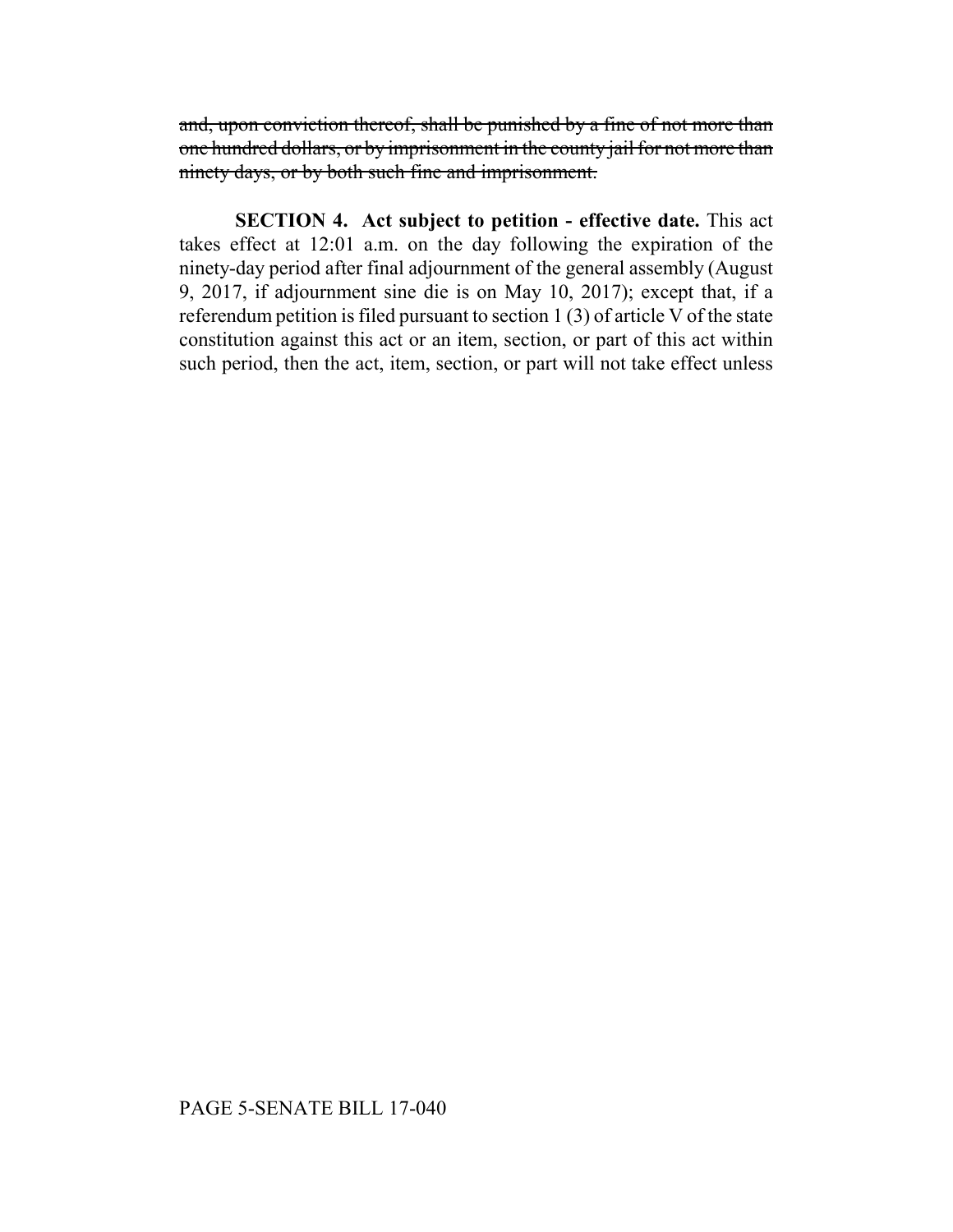and, upon conviction thereof, shall be punished by a fine of not more than one hundred dollars, or by imprisonment in the county jail for not more than ninety days, or by both such fine and imprisonment.

**SECTION 4. Act subject to petition - effective date.** This act takes effect at 12:01 a.m. on the day following the expiration of the ninety-day period after final adjournment of the general assembly (August 9, 2017, if adjournment sine die is on May 10, 2017); except that, if a referendum petition is filed pursuant to section 1 (3) of article V of the state constitution against this act or an item, section, or part of this act within such period, then the act, item, section, or part will not take effect unless